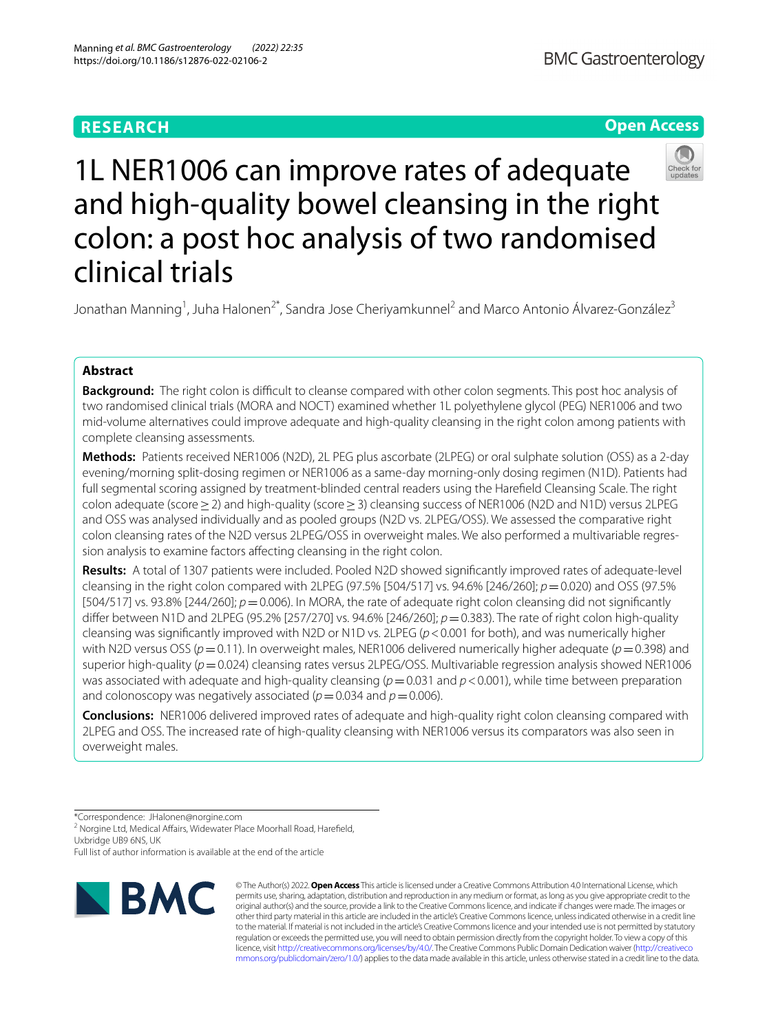# **RESEARCH**

# **Open Access**



1L NER1006 can improve rates of adequate and high-quality bowel cleansing in the right colon: a post hoc analysis of two randomised clinical trials

Jonathan Manning<sup>1</sup>, Juha Halonen<sup>2\*</sup>, Sandra Jose Cheriyamkunnel<sup>2</sup> and Marco Antonio Álvarez-González<sup>3</sup>

# **Abstract**

**Background:** The right colon is difcult to cleanse compared with other colon segments. This post hoc analysis of two randomised clinical trials (MORA and NOCT) examined whether 1L polyethylene glycol (PEG) NER1006 and two mid-volume alternatives could improve adequate and high-quality cleansing in the right colon among patients with complete cleansing assessments.

**Methods:** Patients received NER1006 (N2D), 2L PEG plus ascorbate (2LPEG) or oral sulphate solution (OSS) as a 2-day evening/morning split-dosing regimen or NER1006 as a same-day morning-only dosing regimen (N1D). Patients had full segmental scoring assigned by treatment-blinded central readers using the Harefeld Cleansing Scale. The right colon adequate (score≥2) and high-quality (score≥3) cleansing success of NER1006 (N2D and N1D) versus 2LPEG and OSS was analysed individually and as pooled groups (N2D vs. 2LPEG/OSS). We assessed the comparative right colon cleansing rates of the N2D versus 2LPEG/OSS in overweight males. We also performed a multivariable regression analysis to examine factors affecting cleansing in the right colon.

**Results:** A total of 1307 patients were included. Pooled N2D showed signifcantly improved rates of adequate-level cleansing in the right colon compared with 2LPEG (97.5% [504/517] vs. 94.6% [246/260]; *p*=0.020) and OSS (97.5% [504/517] vs. 93.8% [244/260]; *p*=0.006). In MORA, the rate of adequate right colon cleansing did not signifcantly difer between N1D and 2LPEG (95.2% [257/270] vs. 94.6% [246/260]; *p*=0.383). The rate of right colon high-quality cleansing was signifcantly improved with N2D or N1D vs. 2LPEG (*p*<0.001 for both), and was numerically higher with N2D versus OSS ( $p=0.11$ ). In overweight males, NER1006 delivered numerically higher adequate ( $p=0.398$ ) and superior high-quality ( $p=0.024$ ) cleansing rates versus 2LPEG/OSS. Multivariable regression analysis showed NER1006 was associated with adequate and high-quality cleansing ( $p=0.031$  and  $p<0.001$ ), while time between preparation and colonoscopy was negatively associated ( $p=0.034$  and  $p=0.006$ ).

**Conclusions:** NER1006 delivered improved rates of adequate and high-quality right colon cleansing compared with 2LPEG and OSS. The increased rate of high-quality cleansing with NER1006 versus its comparators was also seen in overweight males.

\*Correspondence: JHalonen@norgine.com

<sup>2</sup> Norgine Ltd, Medical Affairs, Widewater Place Moorhall Road, Harefield, Uxbridge UB9 6NS, UK

Full list of author information is available at the end of the article



© The Author(s) 2022. **Open Access** This article is licensed under a Creative Commons Attribution 4.0 International License, which permits use, sharing, adaptation, distribution and reproduction in any medium or format, as long as you give appropriate credit to the original author(s) and the source, provide a link to the Creative Commons licence, and indicate if changes were made. The images or other third party material in this article are included in the article's Creative Commons licence, unless indicated otherwise in a credit line to the material. If material is not included in the article's Creative Commons licence and your intended use is not permitted by statutory regulation or exceeds the permitted use, you will need to obtain permission directly from the copyright holder. To view a copy of this licence, visit [http://creativecommons.org/licenses/by/4.0/.](http://creativecommons.org/licenses/by/4.0/) The Creative Commons Public Domain Dedication waiver ([http://creativeco](http://creativecommons.org/publicdomain/zero/1.0/) [mmons.org/publicdomain/zero/1.0/](http://creativecommons.org/publicdomain/zero/1.0/)) applies to the data made available in this article, unless otherwise stated in a credit line to the data.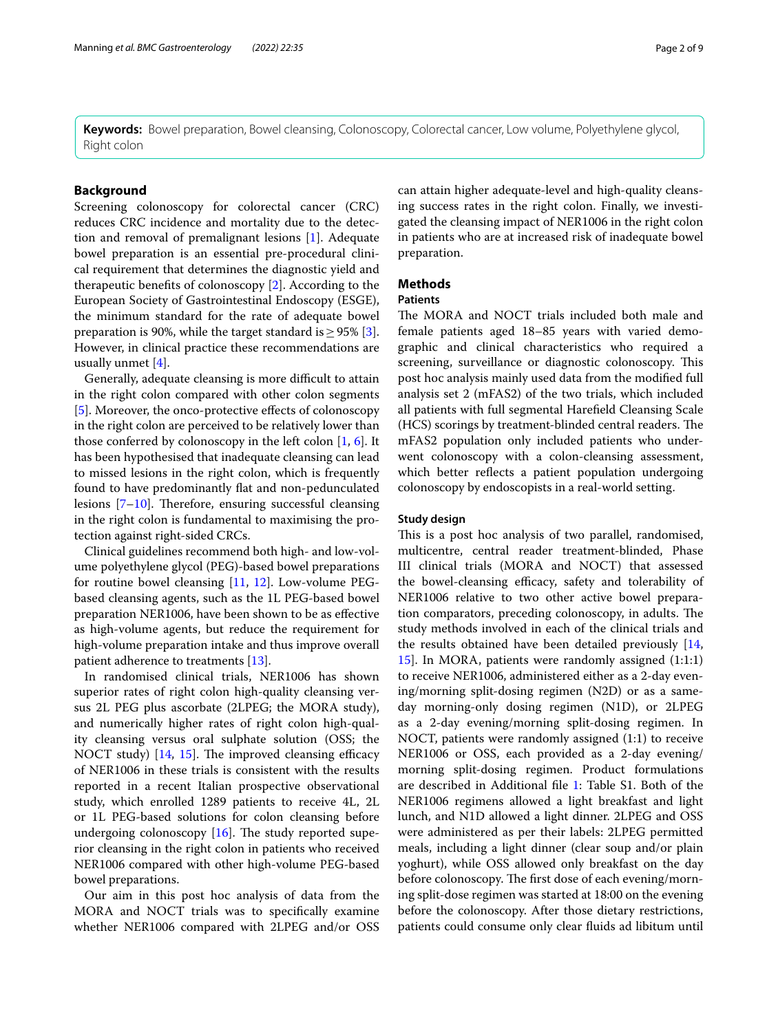**Keywords:** Bowel preparation, Bowel cleansing, Colonoscopy, Colorectal cancer, Low volume, Polyethylene glycol, Right colon

## **Background**

Screening colonoscopy for colorectal cancer (CRC) reduces CRC incidence and mortality due to the detection and removal of premalignant lesions [\[1](#page-7-0)]. Adequate bowel preparation is an essential pre-procedural clinical requirement that determines the diagnostic yield and therapeutic benefts of colonoscopy [\[2](#page-7-1)]. According to the European Society of Gastrointestinal Endoscopy (ESGE), the minimum standard for the rate of adequate bowel preparation is 90%, while the target standard is  $> 95\%$  [\[3](#page-7-2)]. However, in clinical practice these recommendations are usually unmet [[4\]](#page-7-3).

Generally, adequate cleansing is more difficult to attain in the right colon compared with other colon segments [[5\]](#page-7-4). Moreover, the onco-protective efects of colonoscopy in the right colon are perceived to be relatively lower than those conferred by colonoscopy in the left colon [\[1](#page-7-0), [6](#page-7-5)]. It has been hypothesised that inadequate cleansing can lead to missed lesions in the right colon, which is frequently found to have predominantly fat and non-pedunculated lesions  $[7-10]$  $[7-10]$ . Therefore, ensuring successful cleansing in the right colon is fundamental to maximising the protection against right-sided CRCs.

Clinical guidelines recommend both high- and low-volume polyethylene glycol (PEG)-based bowel preparations for routine bowel cleansing [[11](#page-8-0), [12](#page-8-1)]. Low-volume PEGbased cleansing agents, such as the 1L PEG-based bowel preparation NER1006, have been shown to be as efective as high-volume agents, but reduce the requirement for high-volume preparation intake and thus improve overall patient adherence to treatments [\[13](#page-8-2)].

In randomised clinical trials, NER1006 has shown superior rates of right colon high-quality cleansing versus 2L PEG plus ascorbate (2LPEG; the MORA study), and numerically higher rates of right colon high-quality cleansing versus oral sulphate solution (OSS; the NOCT study)  $[14, 15]$  $[14, 15]$  $[14, 15]$  $[14, 15]$  $[14, 15]$ . The improved cleansing efficacy of NER1006 in these trials is consistent with the results reported in a recent Italian prospective observational study, which enrolled 1289 patients to receive 4L, 2L or 1L PEG-based solutions for colon cleansing before undergoing colonoscopy  $[16]$  $[16]$ . The study reported superior cleansing in the right colon in patients who received NER1006 compared with other high-volume PEG-based bowel preparations.

Our aim in this post hoc analysis of data from the MORA and NOCT trials was to specifcally examine whether NER1006 compared with 2LPEG and/or OSS

can attain higher adequate-level and high-quality cleansing success rates in the right colon. Finally, we investigated the cleansing impact of NER1006 in the right colon in patients who are at increased risk of inadequate bowel preparation.

# **Methods**

# **Patients**

The MORA and NOCT trials included both male and female patients aged 18–85 years with varied demographic and clinical characteristics who required a screening, surveillance or diagnostic colonoscopy. This post hoc analysis mainly used data from the modifed full analysis set 2 (mFAS2) of the two trials, which included all patients with full segmental Harefeld Cleansing Scale (HCS) scorings by treatment-blinded central readers. The mFAS2 population only included patients who underwent colonoscopy with a colon-cleansing assessment, which better reflects a patient population undergoing colonoscopy by endoscopists in a real-world setting.

### **Study design**

This is a post hoc analysis of two parallel, randomised, multicentre, central reader treatment-blinded, Phase III clinical trials (MORA and NOCT) that assessed the bowel-cleansing efficacy, safety and tolerability of NER1006 relative to two other active bowel preparation comparators, preceding colonoscopy, in adults. The study methods involved in each of the clinical trials and the results obtained have been detailed previously [[14](#page-8-3), [15\]](#page-8-4). In MORA, patients were randomly assigned (1:1:1) to receive NER1006, administered either as a 2-day evening/morning split-dosing regimen (N2D) or as a sameday morning-only dosing regimen (N1D), or 2LPEG as a 2-day evening/morning split-dosing regimen. In NOCT, patients were randomly assigned (1:1) to receive NER1006 or OSS, each provided as a 2-day evening/ morning split-dosing regimen. Product formulations are described in Additional fle [1:](#page-7-8) Table S1. Both of the NER1006 regimens allowed a light breakfast and light lunch, and N1D allowed a light dinner. 2LPEG and OSS were administered as per their labels: 2LPEG permitted meals, including a light dinner (clear soup and/or plain yoghurt), while OSS allowed only breakfast on the day before colonoscopy. The first dose of each evening/morning split-dose regimen was started at 18:00 on the evening before the colonoscopy. After those dietary restrictions, patients could consume only clear fuids ad libitum until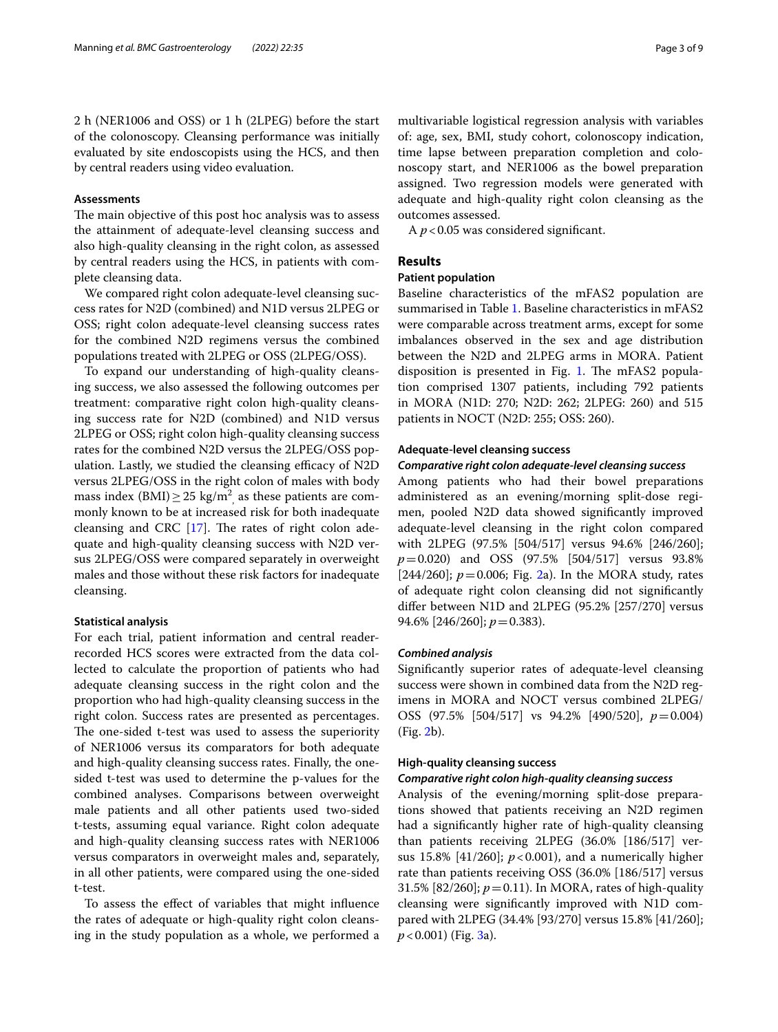2 h (NER1006 and OSS) or 1 h (2LPEG) before the start of the colonoscopy. Cleansing performance was initially evaluated by site endoscopists using the HCS, and then by central readers using video evaluation.

### **Assessments**

The main objective of this post hoc analysis was to assess the attainment of adequate-level cleansing success and also high-quality cleansing in the right colon, as assessed by central readers using the HCS, in patients with complete cleansing data.

We compared right colon adequate-level cleansing success rates for N2D (combined) and N1D versus 2LPEG or OSS; right colon adequate-level cleansing success rates for the combined N2D regimens versus the combined populations treated with 2LPEG or OSS (2LPEG/OSS).

To expand our understanding of high-quality cleansing success, we also assessed the following outcomes per treatment: comparative right colon high-quality cleansing success rate for N2D (combined) and N1D versus 2LPEG or OSS; right colon high-quality cleansing success rates for the combined N2D versus the 2LPEG/OSS population. Lastly, we studied the cleansing efficacy of  $N2D$ versus 2LPEG/OSS in the right colon of males with body mass index (BMI) $\geq$  25 kg/m<sup>2</sup>, as these patients are commonly known to be at increased risk for both inadequate cleansing and CRC  $[17]$  $[17]$ . The rates of right colon adequate and high-quality cleansing success with N2D versus 2LPEG/OSS were compared separately in overweight males and those without these risk factors for inadequate cleansing.

## **Statistical analysis**

For each trial, patient information and central readerrecorded HCS scores were extracted from the data collected to calculate the proportion of patients who had adequate cleansing success in the right colon and the proportion who had high-quality cleansing success in the right colon. Success rates are presented as percentages. The one-sided t-test was used to assess the superiority of NER1006 versus its comparators for both adequate and high-quality cleansing success rates. Finally, the onesided t-test was used to determine the p-values for the combined analyses. Comparisons between overweight male patients and all other patients used two-sided t-tests, assuming equal variance. Right colon adequate and high-quality cleansing success rates with NER1006 versus comparators in overweight males and, separately, in all other patients, were compared using the one-sided t-test.

To assess the efect of variables that might infuence the rates of adequate or high-quality right colon cleansing in the study population as a whole, we performed a multivariable logistical regression analysis with variables of: age, sex, BMI, study cohort, colonoscopy indication, time lapse between preparation completion and colonoscopy start, and NER1006 as the bowel preparation assigned. Two regression models were generated with adequate and high-quality right colon cleansing as the outcomes assessed.

A  $p$  < 0.05 was considered significant.

# **Results**

### **Patient population**

Baseline characteristics of the mFAS2 population are summarised in Table [1.](#page-3-0) Baseline characteristics in mFAS2 were comparable across treatment arms, except for some imbalances observed in the sex and age distribution between the N2D and 2LPEG arms in MORA. Patient disposition is presented in Fig. [1](#page-3-1). The mFAS2 population comprised 1307 patients, including 792 patients in MORA (N1D: 270; N2D: 262; 2LPEG: 260) and 515 patients in NOCT (N2D: 255; OSS: 260).

### **Adequate‑level cleansing success**

### *Comparative right colon adequate‑level cleansing success*

Among patients who had their bowel preparations administered as an evening/morning split-dose regimen, pooled N2D data showed signifcantly improved adequate-level cleansing in the right colon compared with 2LPEG (97.5% [504/517] versus 94.6% [246/260]; *p*=0.020) and OSS (97.5% [504/517] versus 93.8% [244/260];  $p = 0.006$ ; Fig. [2a](#page-4-0)). In the MORA study, rates of adequate right colon cleansing did not signifcantly difer between N1D and 2LPEG (95.2% [257/270] versus 94.6% [246/260]; *p*=0.383).

### *Combined analysis*

Signifcantly superior rates of adequate-level cleansing success were shown in combined data from the N2D regimens in MORA and NOCT versus combined 2LPEG/ OSS (97.5% [504/517] vs 94.2% [490/520], *p*=0.004) (Fig. [2b](#page-4-0)).

## **High‑quality cleansing success**

### *Comparative right colon high‑quality cleansing success*

Analysis of the evening/morning split-dose preparations showed that patients receiving an N2D regimen had a signifcantly higher rate of high-quality cleansing than patients receiving 2LPEG (36.0% [186/517] versus 15.8% [41/260]; *p*<0.001), and a numerically higher rate than patients receiving OSS (36.0% [186/517] versus 31.5% [82/260]; *p*=0.11). In MORA, rates of high-quality cleansing were signifcantly improved with N1D compared with 2LPEG (34.4% [93/270] versus 15.8% [41/260]; *p*<0.001) (Fig. [3](#page-4-1)a).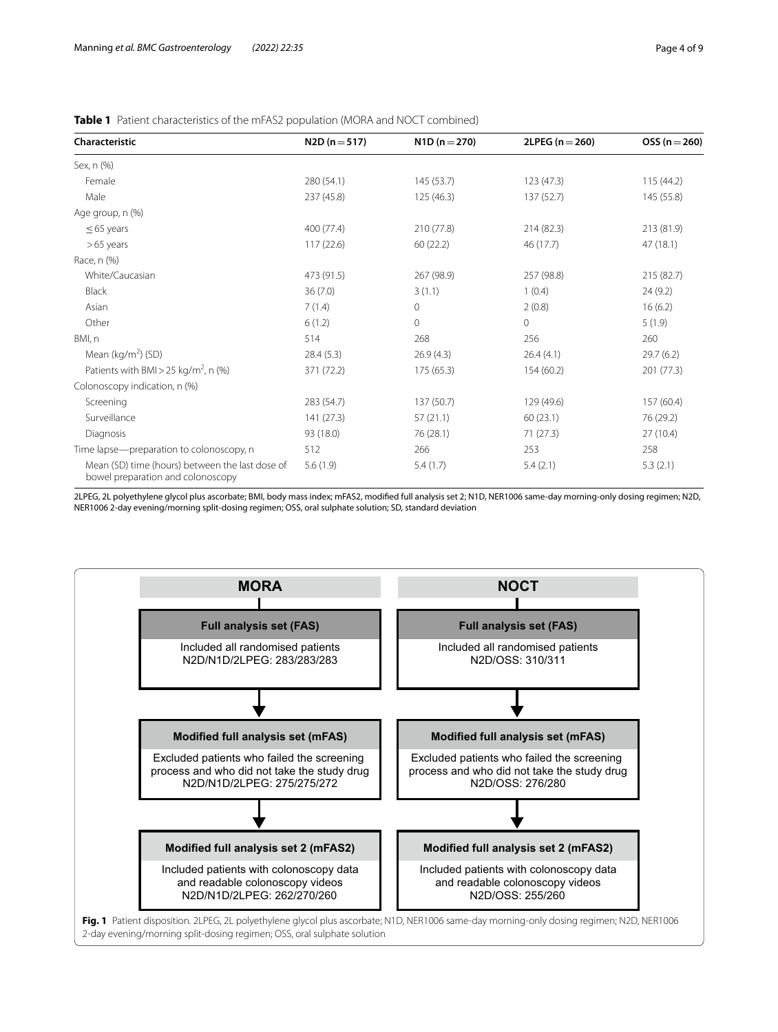<span id="page-3-0"></span>

| <b>Table 1</b> Patient characteristics of the mFAS2 population (MORA and NOCT combined) |  |
|-----------------------------------------------------------------------------------------|--|
|-----------------------------------------------------------------------------------------|--|

| Characteristic                                                                       | $N2D (n = 517)$ | $N1D(n=270)$ | $2LPEG (n = 260)$ | $OSS(n=260)$ |
|--------------------------------------------------------------------------------------|-----------------|--------------|-------------------|--------------|
| Sex, n (%)                                                                           |                 |              |                   |              |
| Female                                                                               | 280 (54.1)      | 145 (53.7)   | 123 (47.3)        | 115(44.2)    |
| Male                                                                                 | 237 (45.8)      | 125(46.3)    | 137 (52.7)        | 145 (55.8)   |
| Age group, n (%)                                                                     |                 |              |                   |              |
| $\leq$ 65 years                                                                      | 400 (77.4)      | 210 (77.8)   | 214 (82.3)        | 213 (81.9)   |
| $>65$ years                                                                          | 117(22.6)       | 60(22.2)     | 46 (17.7)         | 47(18.1)     |
| Race, n (%)                                                                          |                 |              |                   |              |
| White/Caucasian                                                                      | 473 (91.5)      | 267 (98.9)   | 257 (98.8)        | 215 (82.7)   |
| Black                                                                                | 36(7.0)         | 3(1.1)       | 1(0.4)            | 24 (9.2)     |
| Asian                                                                                | 7(1.4)          | 0            | 2(0.8)            | 16(6.2)      |
| Other                                                                                | 6(1.2)          | $\Omega$     | $\mathbf 0$       | 5(1.9)       |
| BMI, n                                                                               | 514             | 268          | 256               | 260          |
| Mean ( $kg/m2$ ) (SD)                                                                | 28.4(5.3)       | 26.9(4.3)    | 26.4(4.1)         | 29.7(6.2)    |
| Patients with BMI > 25 kg/m <sup>2</sup> , n (%)                                     | 371 (72.2)      | 175 (65.3)   | 154 (60.2)        | 201 (77.3)   |
| Colonoscopy indication, n (%)                                                        |                 |              |                   |              |
| Screening                                                                            | 283 (54.7)      | 137 (50.7)   | 129 (49.6)        | 157 (60.4)   |
| Surveillance                                                                         | 141 (27.3)      | 57(21.1)     | 60(23.1)          | 76 (29.2)    |
| Diagnosis                                                                            | 93 (18.0)       | 76 (28.1)    | 71 (27.3)         | 27(10.4)     |
| Time lapse-preparation to colonoscopy, n                                             | 512             | 266          | 253               | 258          |
| Mean (SD) time (hours) between the last dose of<br>bowel preparation and colonoscopy | 5.6(1.9)        | 5.4(1.7)     | 5.4(2.1)          | 5.3(2.1)     |

2LPEG, 2L polyethylene glycol plus ascorbate; BMI, body mass index; mFAS2, modifed full analysis set 2; N1D, NER1006 same-day morning-only dosing regimen; N2D, NER1006 2-day evening/morning split-dosing regimen; OSS, oral sulphate solution; SD, standard deviation

<span id="page-3-1"></span>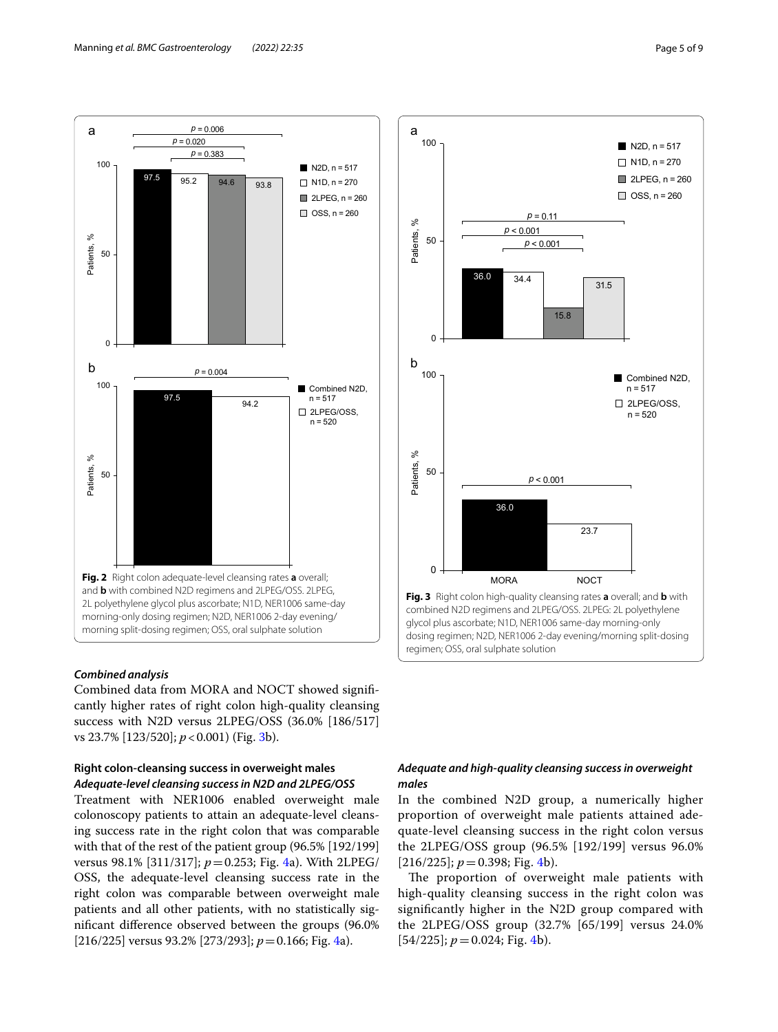

## <span id="page-4-0"></span>*Combined analysis*

Combined data from MORA and NOCT showed signifcantly higher rates of right colon high-quality cleansing success with N2D versus 2LPEG/OSS (36.0% [186/517] vs 23.7% [123/520]; *p*<0.001) (Fig. [3](#page-4-1)b).

# **Right colon‑cleansing success in overweight males** *Adequate‑level cleansing success in N2D and 2LPEG/OSS*

Treatment with NER1006 enabled overweight male colonoscopy patients to attain an adequate-level cleansing success rate in the right colon that was comparable with that of the rest of the patient group (96.5% [192/199] versus 98.1% [311/317]; *p*=0.253; Fig. [4a](#page-5-0)). With 2LPEG/ OSS, the adequate-level cleansing success rate in the right colon was comparable between overweight male patients and all other patients, with no statistically signifcant diference observed between the groups (96.0% [216/225] versus 93.2% [273/293]; *p*=0.166; Fig. [4](#page-5-0)a).



# <span id="page-4-1"></span>*Adequate and high‑quality cleansing success in overweight males*

In the combined N2D group, a numerically higher proportion of overweight male patients attained adequate-level cleansing success in the right colon versus the 2LPEG/OSS group (96.5% [192/199] versus 96.0%  $[216/225]$ ;  $p = 0.398$ ; Fig. [4](#page-5-0)b).

The proportion of overweight male patients with high-quality cleansing success in the right colon was signifcantly higher in the N2D group compared with the 2LPEG/OSS group (32.7% [65/199] versus 24.0%  $[54/225]$ ;  $p = 0.024$ ; Fig. [4](#page-5-0)b).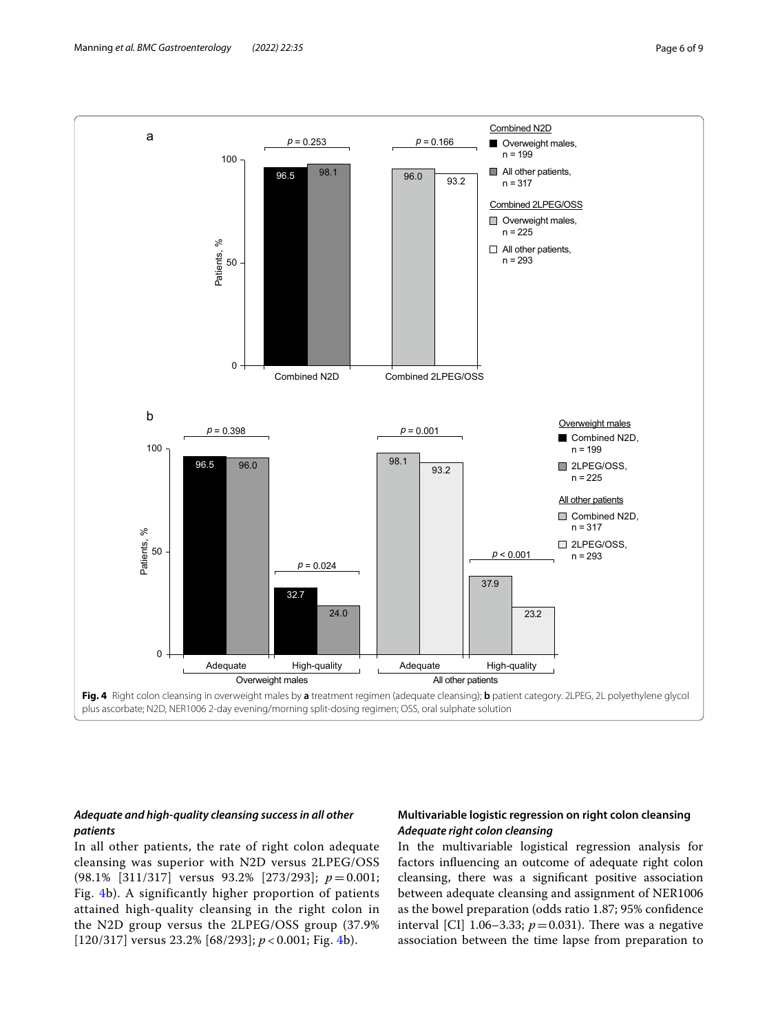

# <span id="page-5-0"></span>*Adequate and high‑quality cleansing success in all other patients*

In all other patients, the rate of right colon adequate cleansing was superior with N2D versus 2LPEG/OSS (98.1% [311/317] versus 93.2% [273/293]; *p* = 0.001; Fig. [4](#page-5-0)b). A significantly higher proportion of patients attained high-quality cleansing in the right colon in the N2D group versus the 2LPEG/OSS group (37.9% [120/317] versus 23.2% [68/293]; *p* < 0.001; Fig. [4](#page-5-0)b).

# **Multivariable logistic regression on right colon cleansing** *Adequate right colon cleansing*

In the multivariable logistical regression analysis for factors infuencing an outcome of adequate right colon cleansing, there was a signifcant positive association between adequate cleansing and assignment of NER1006 as the bowel preparation (odds ratio 1.87; 95% confdence interval [CI] 1.06–3.33;  $p=0.031$ ). There was a negative association between the time lapse from preparation to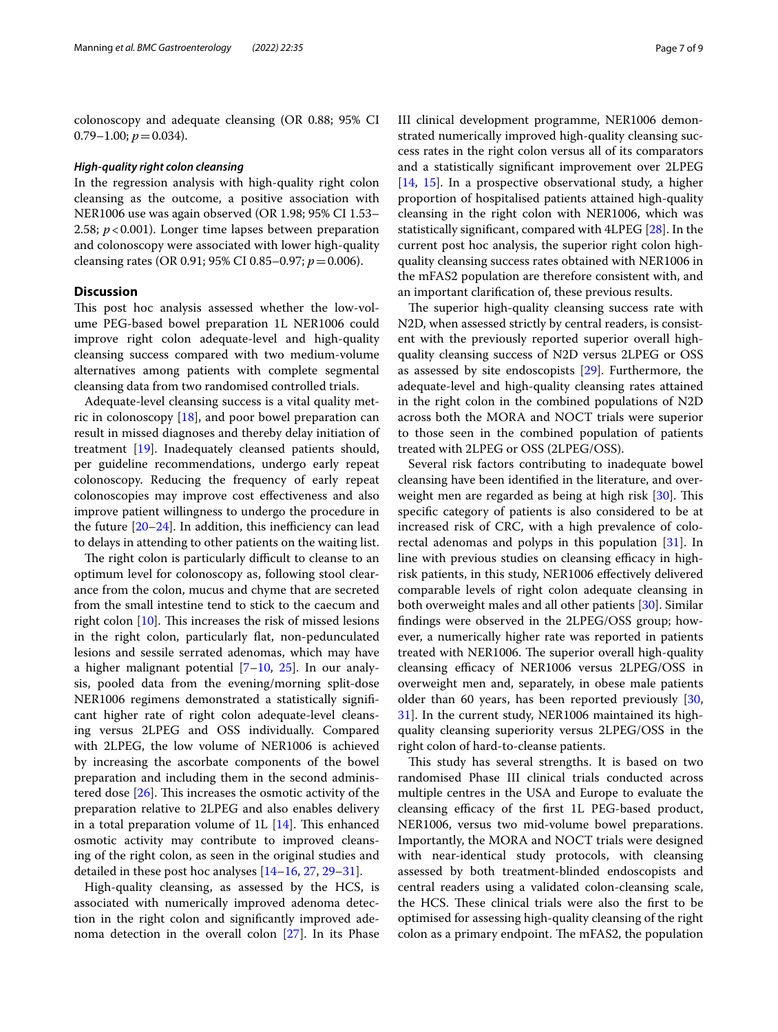colonoscopy and adequate cleansing (OR 0.88; 95% CI  $0.79-1.00; p=0.034$ .

### *High‑quality right colon cleansing*

In the regression analysis with high-quality right colon cleansing as the outcome, a positive association with NER1006 use was again observed (OR 1.98; 95% CI 1.53– 2.58; *p*<0.001). Longer time lapses between preparation and colonoscopy were associated with lower high-quality cleansing rates (OR 0.91; 95% CI 0.85–0.97; *p*=0.006).

# **Discussion**

This post hoc analysis assessed whether the low-volume PEG-based bowel preparation 1L NER1006 could improve right colon adequate-level and high-quality cleansing success compared with two medium-volume alternatives among patients with complete segmental cleansing data from two randomised controlled trials.

Adequate-level cleansing success is a vital quality metric in colonoscopy [[18\]](#page-8-7), and poor bowel preparation can result in missed diagnoses and thereby delay initiation of treatment [\[19](#page-8-8)]. Inadequately cleansed patients should, per guideline recommendations, undergo early repeat colonoscopy. Reducing the frequency of early repeat colonoscopies may improve cost efectiveness and also improve patient willingness to undergo the procedure in the future  $[20-24]$  $[20-24]$  $[20-24]$ . In addition, this inefficiency can lead to delays in attending to other patients on the waiting list.

The right colon is particularly difficult to cleanse to an optimum level for colonoscopy as, following stool clearance from the colon, mucus and chyme that are secreted from the small intestine tend to stick to the caecum and right colon  $[10]$  $[10]$ . This increases the risk of missed lesions in the right colon, particularly fat, non-pedunculated lesions and sessile serrated adenomas, which may have a higher malignant potential  $[7–10, 25]$  $[7–10, 25]$  $[7–10, 25]$  $[7–10, 25]$ . In our analysis, pooled data from the evening/morning split-dose NER1006 regimens demonstrated a statistically signifcant higher rate of right colon adequate-level cleansing versus 2LPEG and OSS individually. Compared with 2LPEG, the low volume of NER1006 is achieved by increasing the ascorbate components of the bowel preparation and including them in the second administered dose  $[26]$ . This increases the osmotic activity of the preparation relative to 2LPEG and also enables delivery in a total preparation volume of  $1L$  [[14](#page-8-3)]. This enhanced osmotic activity may contribute to improved cleansing of the right colon, as seen in the original studies and detailed in these post hoc analyses [\[14](#page-8-3)[–16,](#page-8-5) [27](#page-8-13), [29–](#page-8-14)[31](#page-8-15)].

High-quality cleansing, as assessed by the HCS, is associated with numerically improved adenoma detection in the right colon and signifcantly improved adenoma detection in the overall colon [[27](#page-8-13)]. In its Phase III clinical development programme, NER1006 demonstrated numerically improved high-quality cleansing success rates in the right colon versus all of its comparators and a statistically signifcant improvement over 2LPEG [[14,](#page-8-3) [15\]](#page-8-4). In a prospective observational study, a higher proportion of hospitalised patients attained high-quality cleansing in the right colon with NER1006, which was statistically signifcant, compared with 4LPEG [\[28](#page-8-16)]. In the current post hoc analysis, the superior right colon highquality cleansing success rates obtained with NER1006 in the mFAS2 population are therefore consistent with, and an important clarifcation of, these previous results.

The superior high-quality cleansing success rate with N2D, when assessed strictly by central readers, is consistent with the previously reported superior overall highquality cleansing success of N2D versus 2LPEG or OSS as assessed by site endoscopists [\[29](#page-8-14)]. Furthermore, the adequate-level and high-quality cleansing rates attained in the right colon in the combined populations of N2D across both the MORA and NOCT trials were superior to those seen in the combined population of patients treated with 2LPEG or OSS (2LPEG/OSS).

Several risk factors contributing to inadequate bowel cleansing have been identifed in the literature, and overweight men are regarded as being at high risk  $[30]$  $[30]$ . This specifc category of patients is also considered to be at increased risk of CRC, with a high prevalence of colorectal adenomas and polyps in this population [[31](#page-8-15)]. In line with previous studies on cleansing efficacy in highrisk patients, in this study, NER1006 efectively delivered comparable levels of right colon adequate cleansing in both overweight males and all other patients [[30\]](#page-8-17). Similar fndings were observed in the 2LPEG/OSS group; however, a numerically higher rate was reported in patients treated with NER1006. The superior overall high-quality cleansing efficacy of NER1006 versus 2LPEG/OSS in overweight men and, separately, in obese male patients older than 60 years, has been reported previously [[30](#page-8-17), [31\]](#page-8-15). In the current study, NER1006 maintained its highquality cleansing superiority versus 2LPEG/OSS in the right colon of hard-to-cleanse patients.

This study has several strengths. It is based on two randomised Phase III clinical trials conducted across multiple centres in the USA and Europe to evaluate the cleansing efficacy of the first 1L PEG-based product, NER1006, versus two mid-volume bowel preparations. Importantly, the MORA and NOCT trials were designed with near-identical study protocols, with cleansing assessed by both treatment-blinded endoscopists and central readers using a validated colon-cleansing scale, the HCS. These clinical trials were also the first to be optimised for assessing high-quality cleansing of the right colon as a primary endpoint. The mFAS2, the population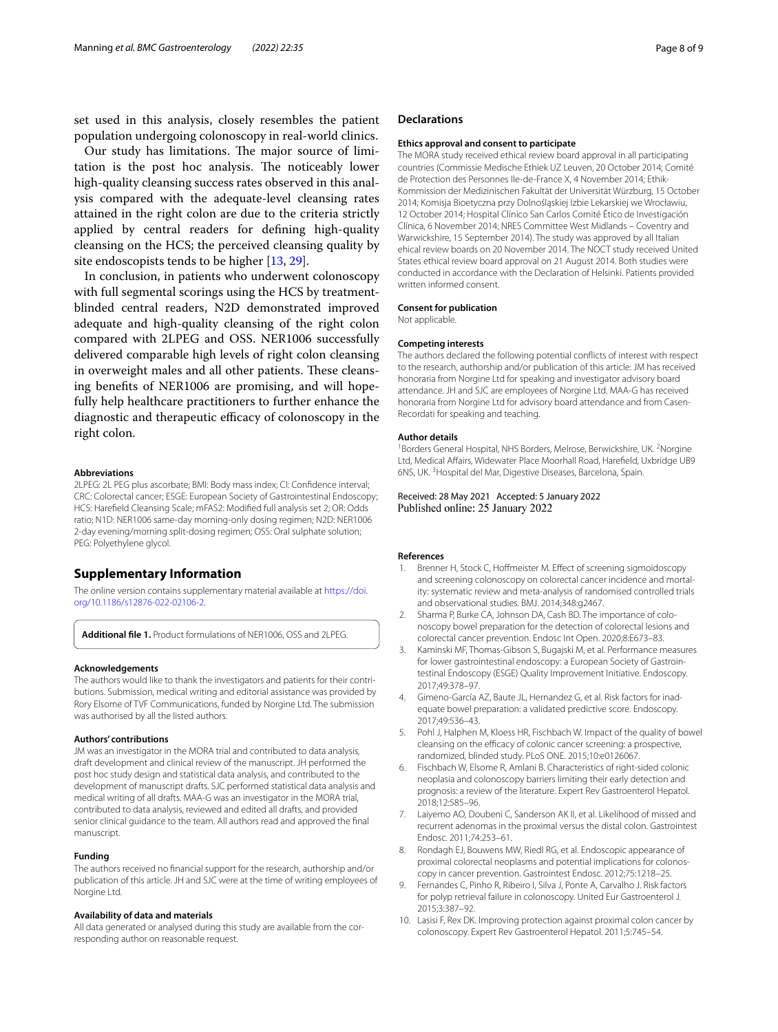set used in this analysis, closely resembles the patient population undergoing colonoscopy in real-world clinics.

Our study has limitations. The major source of limitation is the post hoc analysis. The noticeably lower high-quality cleansing success rates observed in this analysis compared with the adequate-level cleansing rates attained in the right colon are due to the criteria strictly applied by central readers for defning high-quality cleansing on the HCS; the perceived cleansing quality by site endoscopists tends to be higher [\[13,](#page-8-2) [29](#page-8-14)].

In conclusion, in patients who underwent colonoscopy with full segmental scorings using the HCS by treatmentblinded central readers, N2D demonstrated improved adequate and high-quality cleansing of the right colon compared with 2LPEG and OSS. NER1006 successfully delivered comparable high levels of right colon cleansing in overweight males and all other patients. These cleansing benefts of NER1006 are promising, and will hopefully help healthcare practitioners to further enhance the diagnostic and therapeutic efficacy of colonoscopy in the right colon.

#### **Abbreviations**

2LPEG: 2L PEG plus ascorbate; BMI: Body mass index; CI: Confdence interval; CRC: Colorectal cancer; ESGE: European Society of Gastrointestinal Endoscopy; HCS: Harefeld Cleansing Scale; mFAS2: Modifed full analysis set 2; OR: Odds ratio; N1D: NER1006 same-day morning-only dosing regimen; N2D: NER1006 2-day evening/morning split-dosing regimen; OSS: Oral sulphate solution; PEG: Polyethylene glycol.

### **Supplementary Information**

The online version contains supplementary material available at [https://doi.](https://doi.org/10.1186/s12876-022-02106-2) [org/10.1186/s12876-022-02106-2](https://doi.org/10.1186/s12876-022-02106-2).

<span id="page-7-8"></span>**Additional fle 1.** Product formulations of NER1006, OSS and 2LPEG.

#### **Acknowledgements**

The authors would like to thank the investigators and patients for their contributions. Submission, medical writing and editorial assistance was provided by Rory Elsome of TVF Communications, funded by Norgine Ltd. The submission was authorised by all the listed authors.

#### **Authors' contributions**

JM was an investigator in the MORA trial and contributed to data analysis, draft development and clinical review of the manuscript. JH performed the post hoc study design and statistical data analysis, and contributed to the development of manuscript drafts. SJC performed statistical data analysis and medical writing of all drafts. MAA-G was an investigator in the MORA trial, contributed to data analysis, reviewed and edited all drafts, and provided senior clinical guidance to the team. All authors read and approved the fnal manuscript.

### **Funding**

The authors received no fnancial support for the research, authorship and/or publication of this article. JH and SJC were at the time of writing employees of Norgine Ltd.

### **Availability of data and materials**

All data generated or analysed during this study are available from the corresponding author on reasonable request.

### **Declarations**

#### **Ethics approval and consent to participate**

The MORA study received ethical review board approval in all participating countries (Commissie Medische Ethiek UZ Leuven, 20 October 2014; Comité de Protection des Personnes Ile-de-France X, 4 November 2014; Ethik-Kommission der Medizinischen Fakultät der Universität Würzburg, 15 October 2014; Komisja Bioetyczna przy Dolnośląskiej Izbie Lekarskiej we Wrocławiu, 12 October 2014; Hospital Clínico San Carlos Comité Ético de Investigación Clínica, 6 November 2014; NRES Committee West Midlands – Coventry and Warwickshire, 15 September 2014). The study was approved by all Italian ehical review boards on 20 November 2014. The NOCT study received United States ethical review board approval on 21 August 2014. Both studies were conducted in accordance with the Declaration of Helsinki. Patients provided written informed consent.

#### **Consent for publication**

Not applicable.

#### **Competing interests**

The authors declared the following potential conficts of interest with respect to the research, authorship and/or publication of this article: JM has received honoraria from Norgine Ltd for speaking and investigator advisory board attendance. JH and SJC are employees of Norgine Ltd. MAA-G has received honoraria from Norgine Ltd for advisory board attendance and from Casen-Recordati for speaking and teaching.

#### **Author details**

<sup>1</sup> Borders General Hospital, NHS Borders, Melrose, Berwickshire, UK. <sup>2</sup> Norgine Ltd, Medical Afairs, Widewater Place Moorhall Road, Harefeld, Uxbridge UB9 6NS, UK.<sup>3</sup> Hospital del Mar, Digestive Diseases, Barcelona, Spain.

Received: 28 May 2021 Accepted: 5 January 2022 Published online: 25 January 2022

#### **References**

- <span id="page-7-0"></span>1. Brenner H, Stock C, Hoffmeister M. Effect of screening sigmoidoscopy and screening colonoscopy on colorectal cancer incidence and mortality: systematic review and meta-analysis of randomised controlled trials and observational studies. BMJ. 2014;348:g2467.
- <span id="page-7-1"></span>2. Sharma P, Burke CA, Johnson DA, Cash BD. The importance of colonoscopy bowel preparation for the detection of colorectal lesions and colorectal cancer prevention. Endosc Int Open. 2020;8:E673–83.
- <span id="page-7-2"></span>3. Kaminski MF, Thomas-Gibson S, Bugajski M, et al. Performance measures for lower gastrointestinal endoscopy: a European Society of Gastrointestinal Endoscopy (ESGE) Quality Improvement Initiative. Endoscopy. 2017;49:378–97.
- <span id="page-7-3"></span>4. Gimeno-García AZ, Baute JL, Hernandez G, et al. Risk factors for inadequate bowel preparation: a validated predictive score. Endoscopy. 2017;49:536–43.
- <span id="page-7-4"></span>5. Pohl J, Halphen M, Kloess HR, Fischbach W. Impact of the quality of bowel cleansing on the efficacy of colonic cancer screening: a prospective, randomized, blinded study. PLoS ONE. 2015;10:e0126067.
- <span id="page-7-5"></span>6. Fischbach W, Elsome R, Amlani B. Characteristics of right-sided colonic neoplasia and colonoscopy barriers limiting their early detection and prognosis: a review of the literature. Expert Rev Gastroenterol Hepatol. 2018;12:585–96.
- <span id="page-7-6"></span>7. Laiyemo AO, Doubeni C, Sanderson AK II, et al. Likelihood of missed and recurrent adenomas in the proximal versus the distal colon. Gastrointest Endosc. 2011;74:253–61.
- 8. Rondagh EJ, Bouwens MW, Riedl RG, et al. Endoscopic appearance of proximal colorectal neoplasms and potential implications for colonoscopy in cancer prevention. Gastrointest Endosc. 2012;75:1218–25.
- 9. Fernandes C, Pinho R, Ribeiro I, Silva J, Ponte A, Carvalho J. Risk factors for polyp retrieval failure in colonoscopy. United Eur Gastroenterol J. 2015;3:387–92.
- <span id="page-7-7"></span>10. Lasisi F, Rex DK. Improving protection against proximal colon cancer by colonoscopy. Expert Rev Gastroenterol Hepatol. 2011;5:745–54.